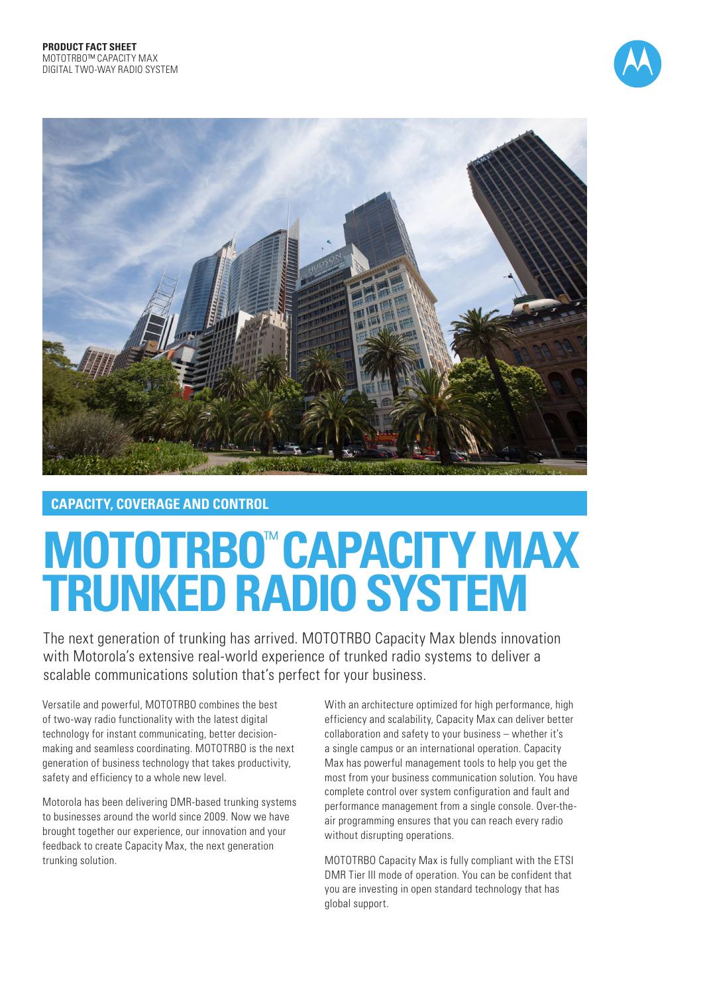



# **CAPACITY, COVERAGE AND CONTROL**

# **MOTOTRBO**™  **CAPACITY MAX TRUNKED RADIO SYSTEM**

The next generation of trunking has arrived. MOTOTRBO Capacity Max blends innovation with Motorola's extensive real-world experience of trunked radio systems to deliver a scalable communications solution that's perfect for your business.

Versatile and powerful, MOTOTRBO combines the best of two-way radio functionality with the latest digital technology for instant communicating, better decisionmaking and seamless coordinating. MOTOTRBO is the next generation of business technology that takes productivity, safety and efficiency to a whole new level.

Motorola has been delivering DMR-based trunking systems to businesses around the world since 2009. Now we have brought together our experience, our innovation and your feedback to create Capacity Max, the next generation trunking solution.

With an architecture optimized for high performance, high efficiency and scalability, Capacity Max can deliver better collaboration and safety to your business – whether it's a single campus or an international operation. Capacity Max has powerful management tools to help you get the most from your business communication solution. You have complete control over system configuration and fault and performance management from a single console. Over-theair programming ensures that you can reach every radio without disrupting operations.

MOTOTRBO Capacity Max is fully compliant with the ETSI DMR Tier III mode of operation. You can be confident that you are investing in open standard technology that has global support.